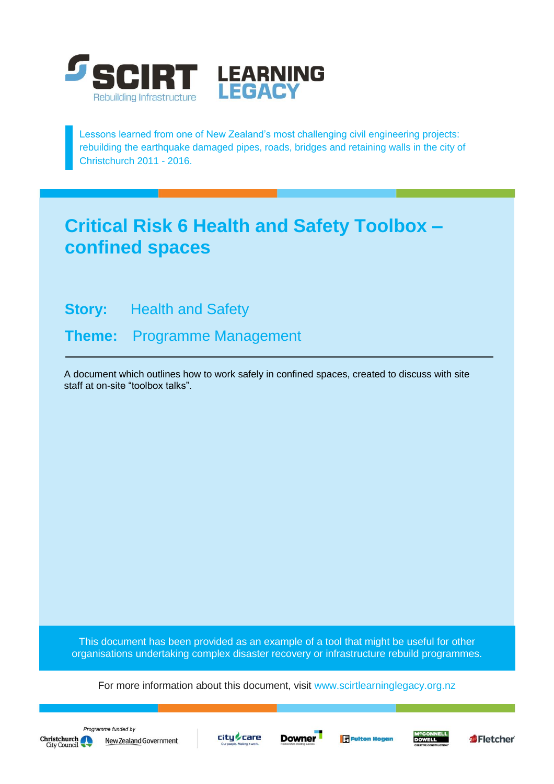

Lessons learned from one of New Zealand's most challenging civil engineering projects: rebuilding the earthquake damaged pipes, roads, bridges and retaining walls in the city of Christchurch 2011 - 2016.

# **Critical Risk 6 Health and Safety Toolbox – confined spaces**

**Story:** Health and Safety

**Theme:** Programme Management

A document which outlines how to work safely in confined spaces, created to discuss with site staff at on-site "toolbox talks".

This document has been provided as an example of a tool that might be useful for other organisations undertaking complex disaster recovery or infrastructure rebuild programmes.

For more information about this document, visit [www.scirtlearninglegacy.org.nz](http://www.scirtlearninglegacy.org.nz/)







**Fulton Hogan** 



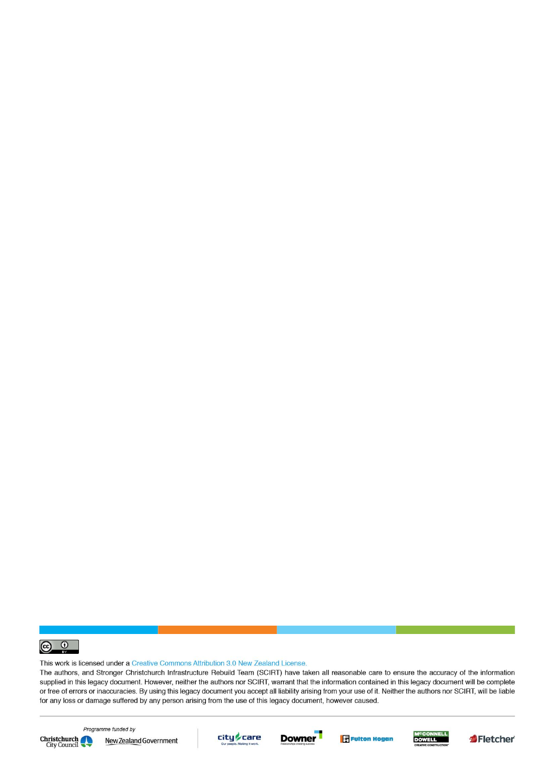

This work is licensed under a Creative Commons Attribution 3.0 New Zealand License.

The authors, and Stronger Christchurch Infrastructure Rebuild Team (SCIRT) have taken all reasonable care to ensure the accuracy of the information supplied in this legacy document. However, neither the authors nor SCIRT, warrant that the information contained in this legacy document will be complete or free of errors or inaccuracies. By using this legacy document you accept all liability arising from your use of it. Neither the authors nor SCIRT, will be liable for any loss or damage suffered by any person arising from the use of this legacy document, however caused.



Programme funded by New Zealand Government









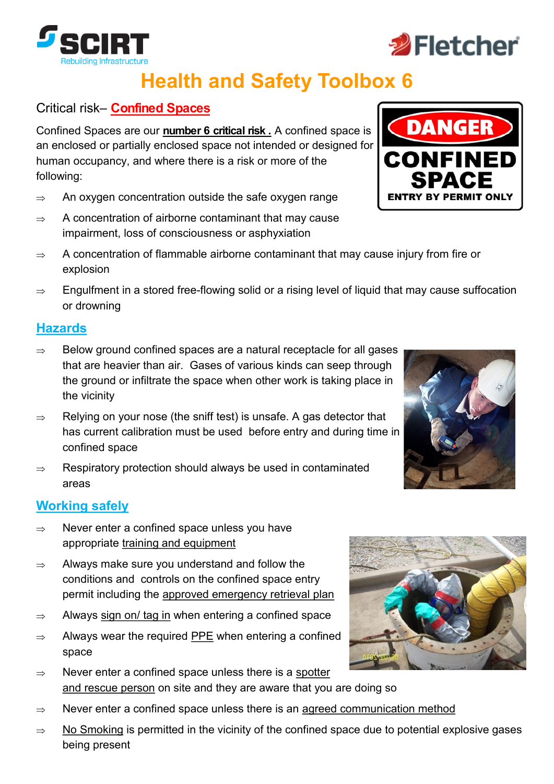

## Critical risk– **Confined Spaces**

Confined Spaces are our **number 6 critical risk .** A confined space is an enclosed or partially enclosed space not intended or designed for human occupancy, and where there is a risk or more of the following:

- $\Rightarrow$  An oxygen concentration outside the safe oxygen range
- $\Rightarrow$  A concentration of airborne contaminant that may cause impairment, loss of consciousness or asphyxiation
- $\Rightarrow$  A concentration of flammable airborne contaminant that may cause injury from fire or explosion
- $\Rightarrow$  Engulfment in a stored free-flowing solid or a rising level of liquid that may cause suffocation or drowning

### **Hazards**

- $\Rightarrow$  Below ground confined spaces are a natural receptacle for all gases that are heavier than air. Gases of various kinds can seep through the ground or infiltrate the space when other work is taking place in the vicinity
- $\Rightarrow$  Relying on your nose (the sniff test) is unsafe. A gas detector that has current calibration must be used before entry and during time in confined space
- $\Rightarrow$  Respiratory protection should always be used in contaminated areas

## **Working safely**

- $\Rightarrow$  Never enter a confined space unless you have appropriate training and equipment
- $\Rightarrow$  Always make sure you understand and follow the conditions and controls on the confined space entry permit including the approved emergency retrieval plan
- $\Rightarrow$  Always sign on/ tag in when entering a confined space
- $\Rightarrow$  Always wear the required PPE when entering a confined space
- $\Rightarrow$  Never enter a confined space unless there is a spotter and rescue person on site and they are aware that you are doing so
- $\Rightarrow$  Never enter a confined space unless there is an agreed communication method
- $\Rightarrow$  No Smoking is permitted in the vicinity of the confined space due to potential explosive gases being present